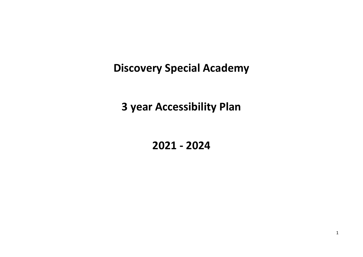**Discovery Special Academy**

**3 year Accessibility Plan**

**2021 - 2024**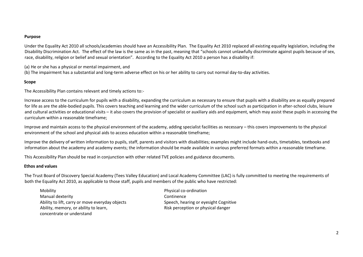#### **Purpose**

Under the Equality Act 2010 all schools/academies should have an Accessibility Plan. The Equality Act 2010 replaced all existing equality legislation, including the Disability Discrimination Act. The effect of the law is the same as in the past, meaning that "schools cannot unlawfully discriminate against pupils because of sex, race, disability, religion or belief and sexual orientation". According to the Equality Act 2010 a person has a disability if:

(a) He or she has a physical or mental impairment, and

(b) The impairment has a substantial and long-term adverse effect on his or her ability to carry out normal day-to-day activities.

# **Scope**

The Accessibility Plan contains relevant and timely actions to:-

Increase access to the curriculum for pupils with a disability, expanding the curriculum as necessary to ensure that pupils with a disability are as equally prepared for life as are the able-bodied pupils. This covers teaching and learning and the wider curriculum of the school such as participation in after-school clubs, leisure and cultural activities or educational visits – it also covers the provision of specialist or auxiliary aids and equipment, which may assist these pupils in accessing the curriculum within a reasonable timeframe;

Improve and maintain access to the physical environment of the academy, adding specialist facilities as necessary – this covers improvements to the physical environment of the school and physical aids to access education within a reasonable timeframe;

Improve the delivery of written information to pupils, staff, parents and visitors with disabilities; examples might include hand-outs, timetables, textbooks and information about the academy and academy events; the information should be made available in various preferred formats within a reasonable timeframe.

This Accessibility Plan should be read in conjunction with other related TVE policies and guidance documents.

#### **Ethos and values**

The Trust Board of Discovery Special Academy (Tees Valley Education) and Local Academy Committee (LAC) is fully committed to meeting the requirements of both the Equality Act 2010, as applicable to those staff, pupils and members of the public who have restricted:

Mobility **Physical co-ordination** Manual dexterity Continence Ability to lift, carry or move everyday objects Speech, hearing or eyesight Cognitive Ability, memory, or ability to learn, The Communisty Risk perception or physical danger concentrate or understand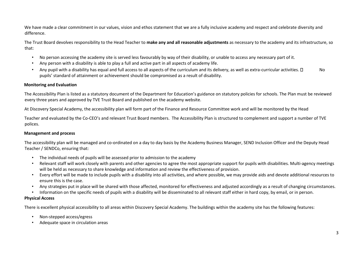We have made a clear commitment in our values, vision and ethos statement that we are a fully inclusive academy and respect and celebrate diversity and difference.

The Trust Board devolves responsibility to the Head Teacher to **make any and all reasonable adjustments** as necessary to the academy and its infrastructure, so that:

- No person accessing the academy site is served less favourably by way of their disability, or unable to access any necessary part of it.
- Any person with a disability is able to play a full and active part in all aspects of academy life.
- Any pupil with a disability has equal and full access to all aspects of the curriculum and its delivery, as well as extra-curricular activities.  $\Box$  No pupils' standard of attainment or achievement should be compromised as a result of disability.

### **Monitoring and Evaluation**

The Accessibility Plan is listed as a statutory document of the Department for Education's guidance on statutory policies for schools. The Plan must be reviewed every three years and approved by TVE Trust Board and published on the academy website.

At Discovery Special Academy, the accessibility plan will form part of the Finance and Resource Committee work and will be monitored by the Head

Teacher and evaluated by the Co-CEO's and relevant Trust Board members. The Accessibility Plan is structured to complement and support a number of TVE polices.

# **Management and process**

The accessibility plan will be managed and co-ordinated on a day to day basis by the Academy Business Manager, SEND Inclusion Officer and the Deputy Head Teacher / SENDCo, ensuring that:

- The individual needs of pupils will be assessed prior to admission to the academy
- Relevant staff will work closely with parents and other agencies to agree the most appropriate support for pupils with disabilities. Multi-agency meetings will be held as necessary to share knowledge and information and review the effectiveness of provision.
- Every effort will be made to include pupils with a disability into all activities, and where possible, we may provide aids and devote additional resources to ensure this is the case.
- Any strategies put in place will be shared with those affected, monitored for effectiveness and adjusted accordingly as a result of changing circumstances.
- Information on the specific needs of pupils with a disability will be disseminated to all relevant staff either in hard copy, by email, or in person.

#### **Physical Access**

There is excellent physical accessibility to all areas within Discovery Special Academy. The buildings within the academy site has the following features:

- Non-stepped access/egress
- Adequate space in circulation areas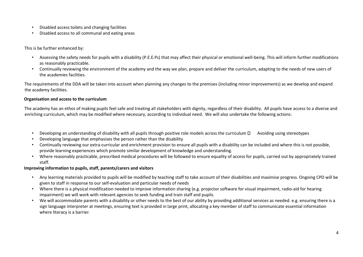- Disabled access toilets and changing facilities
- Disabled access to all communal and eating areas

## This is be further enhanced by:

- Assessing the safety needs for pupils with a disability (P.E.E.Ps) that may affect their physical or emotional well-being. This will inform further modifications as reasonably practicable.
- Continually reviewing the environment of the academy and the way we plan, prepare and deliver the curriculum, adapting to the needs of new users of the academies facilities.

The requirements of the DDA will be taken into account when planning any changes to the premises (including minor improvements) as we develop and expand the academy facilities.

#### **Organisation and access to the curriculum**

The academy has an ethos of making pupils feel safe and treating all stakeholders with dignity, regardless of their disability. All pupils have access to a diverse and enriching curriculum, which may be modified where necessary, according to individual need. We will also undertake the following actions:

- Developing an understanding of disability with all pupils through positive role models across the curriculum  $\Box$  Avoiding using stereotypes
- Developing language that emphasises the person rather than the disability
- Continually reviewing our extra-curricular and enrichment provision to ensure all pupils with a disability can be included and where this is not possible, provide learning experiences which promote similar development of knowledge and understanding.
- Where reasonably practicable, prescribed medical procedures will be followed to ensure equality of access for pupils, carried out by appropriately trained staff.

# **Improving information to pupils, staff, parents/carers and visitors**

- Any learning materials provided to pupils will be modified by teaching staff to take account of their disabilities and maximise progress. Ongoing CPD will be given to staff in response to our self-evaluation and particular needs of needs
- Where there is a physical modification needed to improve information sharing (e.g. projector software for visual impairment, radio-aid for hearing impairment) we will work with relevant agencies to seek funding and train staff and pupils.
- We will accommodate parents with a disability or other needs to the best of our ability by providing additional services as needed. e.g. ensuring there is a sign language interpreter at meetings, ensuring text is provided in large print, allocating a key member of staff to communicate essential information where literacy is a barrier.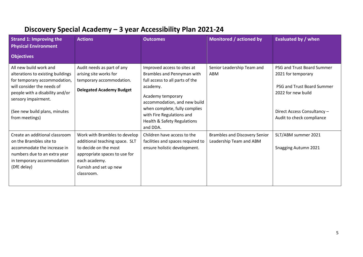# **Discovery Special Academy – 3 year Accessibility Plan 2021-24**

| <b>Strand 1: Improving the</b><br><b>Physical Environment</b>                                                                                                                                                                          | <b>Actions</b>                                                                                                                                                                     | <b>Outcomes</b>                                                                                                                                                                                                                                                        | Monitored / actioned by                                         | Evaluated by / when                                                                                                                                              |
|----------------------------------------------------------------------------------------------------------------------------------------------------------------------------------------------------------------------------------------|------------------------------------------------------------------------------------------------------------------------------------------------------------------------------------|------------------------------------------------------------------------------------------------------------------------------------------------------------------------------------------------------------------------------------------------------------------------|-----------------------------------------------------------------|------------------------------------------------------------------------------------------------------------------------------------------------------------------|
| <b>Objectives</b>                                                                                                                                                                                                                      |                                                                                                                                                                                    |                                                                                                                                                                                                                                                                        |                                                                 |                                                                                                                                                                  |
| All new build work and<br>alterations to existing buildings<br>for temporary accommodation,<br>will consider the needs of<br>people with a disability and/or<br>sensory impairment.<br>(See new build plans, minutes<br>from meetings) | Audit needs as part of any<br>arising site works for<br>temporary accommodation.<br><b>Delegated Academy Budget</b>                                                                | Improved access to sites at<br>Brambles and Pennyman with<br>full access to all parts of the<br>academy.<br>Academy temporary<br>accommodation, and new build<br>when complete, fully complies<br>with Fire Regulations and<br>Health & Safety Regulations<br>and DDA. | Senior Leadership Team and<br>ABM                               | PSG and Trust Board Summer<br>2021 for temporary<br>PSG and Trust Board Summer<br>2022 for new build<br>Direct Access Consultancy -<br>Audit to check compliance |
| Create an additional classroom<br>on the Brambles site to<br>accommodate the increase in<br>numbers due to an extra year<br>in temporary accommodation<br>(DfE delay)                                                                  | Work with Brambles to develop<br>additional teaching space. SLT<br>to decide on the most<br>appropriate spaces to use for<br>each academy.<br>Furnish and set up new<br>classroom. | Children have access to the<br>facilities and spaces required to<br>ensure holistic development.                                                                                                                                                                       | <b>Brambles and Discovery Senior</b><br>Leadership Team and ABM | SLT/ABM summer 2021<br>Snagging Autumn 2021                                                                                                                      |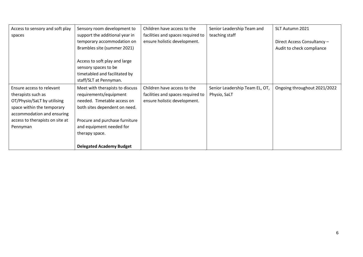| Access to sensory and soft play | Sensory room development to     | Children have access to the       | Senior Leadership Team and     | SLT Autumn 2021              |
|---------------------------------|---------------------------------|-----------------------------------|--------------------------------|------------------------------|
| spaces                          | support the additional year in  | facilities and spaces required to | teaching staff                 |                              |
|                                 | temporary accommodation on      | ensure holistic development.      |                                | Direct Access Consultancy -  |
|                                 | Brambles site (summer 2021)     |                                   |                                | Audit to check compliance    |
|                                 |                                 |                                   |                                |                              |
|                                 | Access to soft play and large   |                                   |                                |                              |
|                                 | sensory spaces to be            |                                   |                                |                              |
|                                 | timetabled and facilitated by   |                                   |                                |                              |
|                                 | staff/SLT at Pennyman.          |                                   |                                |                              |
| Ensure access to relevant       | Meet with therapists to discuss | Children have access to the       | Senior Leadership Team EL, OT, | Ongoing throughout 2021/2022 |
| therapists such as              | requirements/equipment          | facilities and spaces required to | Physio, SaLT                   |                              |
| OT/Physio/SaLT by utilising     | needed. Timetable access on     | ensure holistic development.      |                                |                              |
| space within the temporary      | both sites dependent on need.   |                                   |                                |                              |
| accommodation and ensuring      |                                 |                                   |                                |                              |
| access to therapists on site at | Procure and purchase furniture  |                                   |                                |                              |
| Pennyman                        | and equipment needed for        |                                   |                                |                              |
|                                 | therapy space.                  |                                   |                                |                              |
|                                 |                                 |                                   |                                |                              |
|                                 | <b>Delegated Academy Budget</b> |                                   |                                |                              |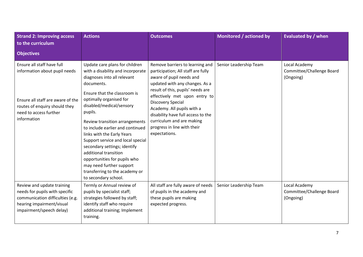| <b>Strand 2: Improving access</b><br>to the curriculum                                                                                                                     | <b>Actions</b>                                                                                                                                                                                                                                                                                                                                                                                                                                                                                                                             | <b>Outcomes</b>                                                                                                                                                                                                                                                                                                                                                                        | Monitored / actioned by | <b>Evaluated by / when</b>                              |
|----------------------------------------------------------------------------------------------------------------------------------------------------------------------------|--------------------------------------------------------------------------------------------------------------------------------------------------------------------------------------------------------------------------------------------------------------------------------------------------------------------------------------------------------------------------------------------------------------------------------------------------------------------------------------------------------------------------------------------|----------------------------------------------------------------------------------------------------------------------------------------------------------------------------------------------------------------------------------------------------------------------------------------------------------------------------------------------------------------------------------------|-------------------------|---------------------------------------------------------|
| <b>Objectives</b>                                                                                                                                                          |                                                                                                                                                                                                                                                                                                                                                                                                                                                                                                                                            |                                                                                                                                                                                                                                                                                                                                                                                        |                         |                                                         |
| Ensure all staff have full<br>information about pupil needs<br>Ensure all staff are aware of the<br>routes of enquiry should they<br>need to access further<br>information | Update care plans for children<br>with a disability and incorporate<br>diagnoses into all relevant<br>documents.<br>Ensure that the classroom is<br>optimally organised for<br>disabled/medical/sensory<br>pupils.<br>Review transition arrangements<br>to include earlier and continued<br>links with the Early Years<br>Support service and local special<br>secondary settings; identify<br>additional transition<br>opportunities for pupils who<br>may need further support<br>transferring to the academy or<br>to secondary school. | Remove barriers to learning and<br>participation; All staff are fully<br>aware of pupil needs and<br>updated with any changes. As a<br>result of this, pupils' needs are<br>effectively met upon entry to<br><b>Discovery Special</b><br>Academy. All pupils with a<br>disability have full access to the<br>curriculum and are making<br>progress in line with their<br>expectations. | Senior Leadership Team  | Local Academy<br>Committee/Challenge Board<br>(Ongoing) |
| Review and update training<br>needs for pupils with specific<br>communication difficulties (e.g.<br>hearing impairment/visual<br>impairment/speech delay)                  | Termly or Annual review of<br>pupils by specialist staff;<br>strategies followed by staff;<br>identify staff who require<br>additional training; Implement<br>training.                                                                                                                                                                                                                                                                                                                                                                    | All staff are fully aware of needs<br>of pupils in the academy and<br>these pupils are making<br>expected progress.                                                                                                                                                                                                                                                                    | Senior Leadership Team  | Local Academy<br>Committee/Challenge Board<br>(Ongoing) |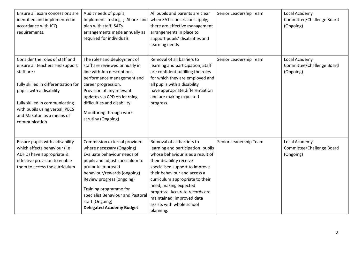| Ensure all exam concessions are<br>identified and implemented in<br>accordance with JCQ<br>requirements.                                                                                                                                                               | Audit needs of pupils;<br>Implement testing ; Share and<br>plan with staff; SATs<br>arrangements made annually as<br>required for individuals                                                                                                                                                                                     | All pupils and parents are clear<br>when SATs concessions apply;<br>there are effective management<br>arrangements in place to<br>support pupils' disabilities and<br>learning needs                                                                                                                                                                                     | Senior Leadership Team | Local Academy<br>Committee/Challenge Board<br>(Ongoing) |
|------------------------------------------------------------------------------------------------------------------------------------------------------------------------------------------------------------------------------------------------------------------------|-----------------------------------------------------------------------------------------------------------------------------------------------------------------------------------------------------------------------------------------------------------------------------------------------------------------------------------|--------------------------------------------------------------------------------------------------------------------------------------------------------------------------------------------------------------------------------------------------------------------------------------------------------------------------------------------------------------------------|------------------------|---------------------------------------------------------|
| Consider the roles of staff and<br>ensure all teachers and support<br>staff are:<br>fully skilled in differentiation for<br>pupils with a disability<br>fully skilled in communicating<br>with pupils using verbal, PECS<br>and Makaton as a means of<br>communication | The roles and deployment of<br>staff are reviewed annually in<br>line with Job descriptions,<br>performance management and<br>career progression.<br>Provision of any relevant<br>updates via CPD on learning<br>difficulties and disability.<br>Monitoring through work<br>scrutiny (Ongoing)                                    | Removal of all barriers to<br>learning and participation; Staff<br>are confident fulfilling the roles<br>for which they are employed and<br>all pupils with a disability<br>have appropriate differentiation<br>and are making expected<br>progress.                                                                                                                     | Senior Leadership Team | Local Academy<br>Committee/Challenge Board<br>(Ongoing) |
| Ensure pupils with a disability<br>which affects behaviour (i.e<br>ADHD) have appropriate &<br>effective provision to enable<br>them to access the curriculum                                                                                                          | Commission external providers<br>where necessary (Ongoing)<br>Evaluate behaviour needs of<br>pupils and adjust curriculum to<br>promote improved<br>behaviour/rewards (ongoing)<br>Review progress (ongoing)<br>Training programme for<br>specialist Behaviour and Pastoral<br>staff (Ongoing)<br><b>Delegated Academy Budget</b> | Removal of all barriers to<br>learning and participation; pupils<br>whose behaviour is as a result of<br>their disability receive<br>specialised support to improve<br>their behaviour and access a<br>curriculum appropriate to their<br>need, making expected<br>progress. Accurate records are<br>maintained; improved data<br>assists with whole school<br>planning. | Senior Leadership Team | Local Academy<br>Committee/Challenge Board<br>(Ongoing) |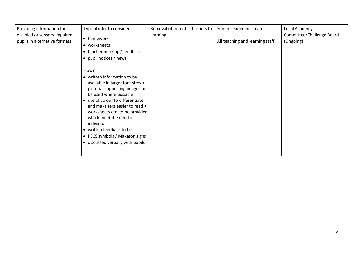| Providing information for<br>disabled or sensory impaired<br>pupils in alternative formats | Typical info. to consider<br>• homework<br>• worksheets<br>• teacher marking / feedback<br>• pupil notices / news                                                                                                                                                                                                                                                                     | Removal of potential barriers to<br>learning | Senior Leadership Team<br>All teaching and learning staff | Local Academy<br>Committee/Challenge Board<br>(Ongoing) |
|--------------------------------------------------------------------------------------------|---------------------------------------------------------------------------------------------------------------------------------------------------------------------------------------------------------------------------------------------------------------------------------------------------------------------------------------------------------------------------------------|----------------------------------------------|-----------------------------------------------------------|---------------------------------------------------------|
|                                                                                            | How?<br>• written information to be<br>available in larger font sizes •<br>pictorial supporting images to<br>be used where possible<br>• use of colour to differentiate<br>and make text easier to read •<br>worksheets etc. to be provided<br>which meet the need of<br>individual<br>• written feedback to be<br>• PECS symbols / Makaton signs<br>• discussed verbally with pupils |                                              |                                                           |                                                         |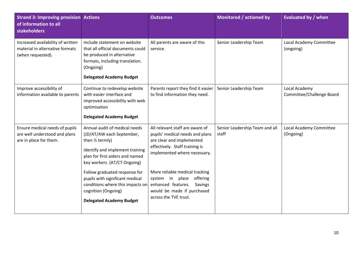| <b>Strand 3: Improving provision Actions</b><br>of information to all<br><b>stakeholders</b> |                                                                                                                                                                                                                                                                                                                                                        | <b>Outcomes</b>                                                                                                                                                                                                                                                                                                         | Monitored / actioned by                 | <b>Evaluated by / when</b>                 |
|----------------------------------------------------------------------------------------------|--------------------------------------------------------------------------------------------------------------------------------------------------------------------------------------------------------------------------------------------------------------------------------------------------------------------------------------------------------|-------------------------------------------------------------------------------------------------------------------------------------------------------------------------------------------------------------------------------------------------------------------------------------------------------------------------|-----------------------------------------|--------------------------------------------|
| Increased availability of written<br>material in alternative formats<br>(when requested).    | Include statement on website<br>that all official documents could<br>be produced in alternative<br>formats, including translation.<br>(Ongoing)<br><b>Delegated Academy Budget</b>                                                                                                                                                                     | All parents are aware of this<br>service.                                                                                                                                                                                                                                                                               | Senior Leadership Team                  | Local Academy Committee<br>(ongoing)       |
| Improve accessibility of<br>information available to parents                                 | Continue to redevelop website<br>with easier interface and<br>improved accessibility with web<br>optimisation<br><b>Delegated Academy Budget</b>                                                                                                                                                                                                       | Parents report they find it easier<br>to find information they need.                                                                                                                                                                                                                                                    | Senior Leadership Team                  | Local Academy<br>Committee/Challenge Board |
| Ensure medical needs of pupils<br>are well understood and plans<br>are in place for them.    | Annual audit of medical needs<br>(JD/AT/AW each September,<br>then 1/2 termly)<br>Identify and implement training<br>plan for first aiders and named<br>key workers. (AT/CT Ongoing)<br>Follow graduated response for<br>pupils with significant medical<br>conditions where this impacts on<br>cognition (Ongoing)<br><b>Delegated Academy Budget</b> | All relevant staff are aware of<br>pupils' medical needs and plans<br>are clear and implemented<br>effectively. Staff training is<br>implemented where necessary.<br>More reliable medical tracking<br>system in place offering<br>enhanced features.<br>Savings<br>would be made if purchased<br>across the TVE trust. | Senior Leadership Team and all<br>staff | Local Academy Committee<br>(Ongoing)       |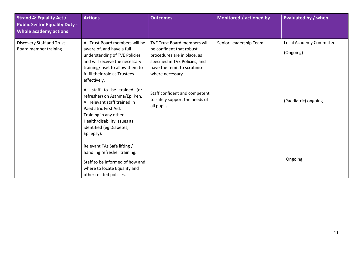| <b>Strand 4: Equality Act /</b><br><b>Public Sector Equality Duty -</b><br><b>Whole academy actions</b> | <b>Actions</b>                                                                                                                                                                                                                                     | <b>Outcomes</b>                                                                                                                                                                      | Monitored / actioned by | <b>Evaluated by / when</b>           |
|---------------------------------------------------------------------------------------------------------|----------------------------------------------------------------------------------------------------------------------------------------------------------------------------------------------------------------------------------------------------|--------------------------------------------------------------------------------------------------------------------------------------------------------------------------------------|-------------------------|--------------------------------------|
| Discovery Staff and Trust<br>Board member training                                                      | All Trust Board members will be<br>aware of, and have a full<br>understanding of TVE Policies<br>and will receive the necessary<br>training/inset to allow them to<br>fulfil their role as Trustees<br>effectively.<br>All staff to be trained (or | <b>TVE Trust Board members will</b><br>be confident that robust<br>procedures are in place, as<br>specified in TVE Policies, and<br>have the remit to scrutinise<br>where necessary. | Senior Leadership Team  | Local Academy Committee<br>(Ongoing) |
|                                                                                                         | refresher) on Asthma/Epi Pen.<br>All relevant staff trained in<br>Paediatric First Aid.<br>Training in any other<br>Health/disability issues as<br>identified (eg Diabetes,<br>Epilepsy).                                                          | Staff confident and competent<br>to safely support the needs of<br>all pupils.                                                                                                       |                         | (Paediatric) ongoing                 |
|                                                                                                         | Relevant TAs Safe lifting /<br>handling refresher training.<br>Staff to be informed of how and<br>where to locate Equality and<br>other related policies.                                                                                          |                                                                                                                                                                                      |                         | Ongoing                              |